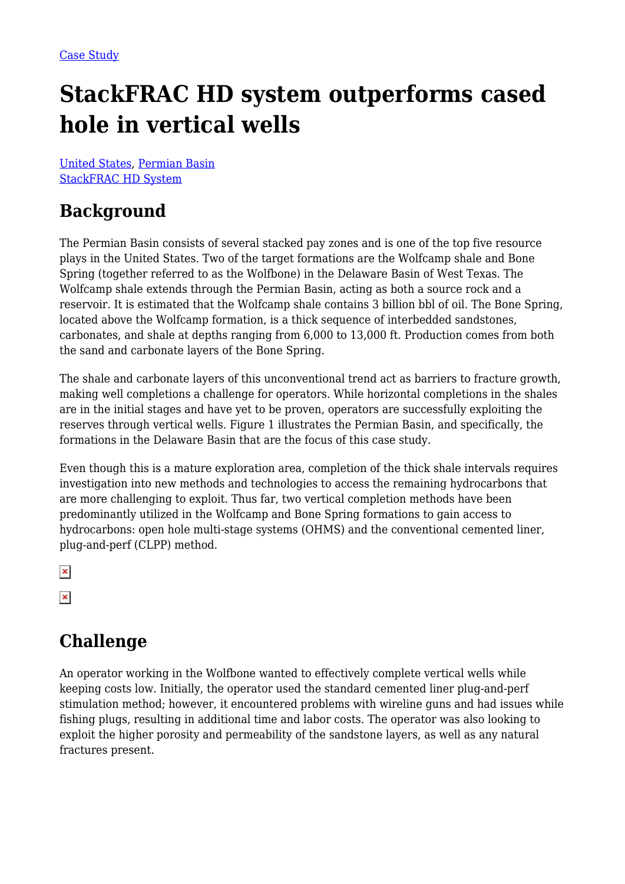# **StackFRAC HD system outperforms cased hole in vertical wells**

[United States](https://packersplus.com/proven-performance/?region=united-states#listing), [Permian Basin](https://packersplus.com/proven-performance/?formation=permian-basin#listing) [StackFRAC HD System](https://packersplus.com/proven-performance/?system=stackfrac-hd-system#listing)

#### **Background**

The Permian Basin consists of several stacked pay zones and is one of the top five resource plays in the United States. Two of the target formations are the Wolfcamp shale and Bone Spring (together referred to as the Wolfbone) in the Delaware Basin of West Texas. The Wolfcamp shale extends through the Permian Basin, acting as both a source rock and a reservoir. It is estimated that the Wolfcamp shale contains 3 billion bbl of oil. The Bone Spring, located above the Wolfcamp formation, is a thick sequence of interbedded sandstones, carbonates, and shale at depths ranging from 6,000 to 13,000 ft. Production comes from both the sand and carbonate layers of the Bone Spring.

The shale and carbonate layers of this unconventional trend act as barriers to fracture growth, making well completions a challenge for operators. While horizontal completions in the shales are in the initial stages and have yet to be proven, operators are successfully exploiting the reserves through vertical wells. Figure 1 illustrates the Permian Basin, and specifically, the formations in the Delaware Basin that are the focus of this case study.

Even though this is a mature exploration area, completion of the thick shale intervals requires investigation into new methods and technologies to access the remaining hydrocarbons that are more challenging to exploit. Thus far, two vertical completion methods have been predominantly utilized in the Wolfcamp and Bone Spring formations to gain access to hydrocarbons: open hole multi-stage systems (OHMS) and the conventional cemented liner, plug-and-perf (CLPP) method.

 $\pmb{\times}$ 

 $\pmb{\times}$ 

## **Challenge**

An operator working in the Wolfbone wanted to effectively complete vertical wells while keeping costs low. Initially, the operator used the standard cemented liner plug-and-perf stimulation method; however, it encountered problems with wireline guns and had issues while fishing plugs, resulting in additional time and labor costs. The operator was also looking to exploit the higher porosity and permeability of the sandstone layers, as well as any natural fractures present.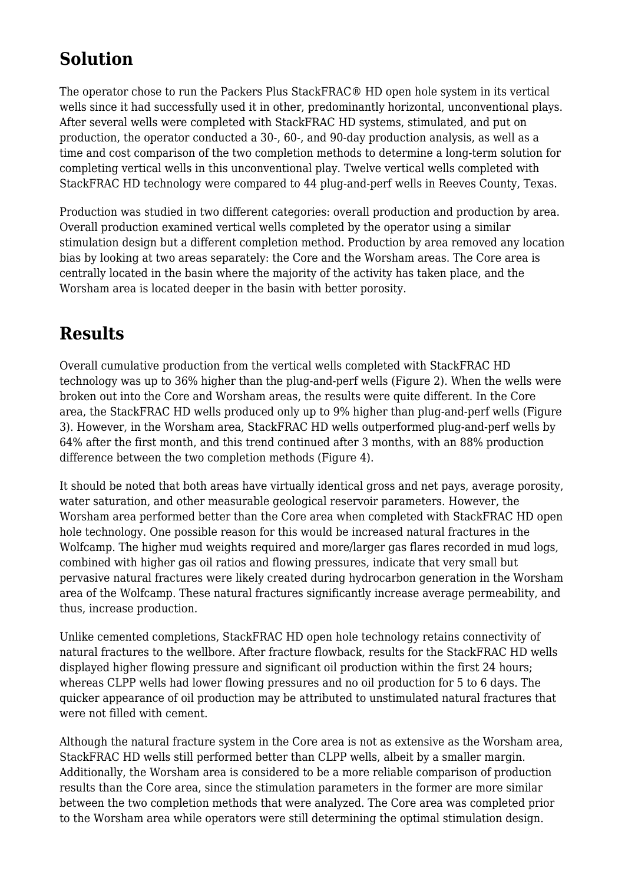## **Solution**

The operator chose to run the Packers Plus StackFRAC® HD open hole system in its vertical wells since it had successfully used it in other, predominantly horizontal, unconventional plays. After several wells were completed with StackFRAC HD systems, stimulated, and put on production, the operator conducted a 30-, 60-, and 90-day production analysis, as well as a time and cost comparison of the two completion methods to determine a long-term solution for completing vertical wells in this unconventional play. Twelve vertical wells completed with StackFRAC HD technology were compared to 44 plug-and-perf wells in Reeves County, Texas.

Production was studied in two different categories: overall production and production by area. Overall production examined vertical wells completed by the operator using a similar stimulation design but a different completion method. Production by area removed any location bias by looking at two areas separately: the Core and the Worsham areas. The Core area is centrally located in the basin where the majority of the activity has taken place, and the Worsham area is located deeper in the basin with better porosity.

#### **Results**

Overall cumulative production from the vertical wells completed with StackFRAC HD technology was up to 36% higher than the plug-and-perf wells (Figure 2). When the wells were broken out into the Core and Worsham areas, the results were quite different. In the Core area, the StackFRAC HD wells produced only up to 9% higher than plug-and-perf wells (Figure 3). However, in the Worsham area, StackFRAC HD wells outperformed plug-and-perf wells by 64% after the first month, and this trend continued after 3 months, with an 88% production difference between the two completion methods (Figure 4).

It should be noted that both areas have virtually identical gross and net pays, average porosity, water saturation, and other measurable geological reservoir parameters. However, the Worsham area performed better than the Core area when completed with StackFRAC HD open hole technology. One possible reason for this would be increased natural fractures in the Wolfcamp. The higher mud weights required and more/larger gas flares recorded in mud logs, combined with higher gas oil ratios and flowing pressures, indicate that very small but pervasive natural fractures were likely created during hydrocarbon generation in the Worsham area of the Wolfcamp. These natural fractures significantly increase average permeability, and thus, increase production.

Unlike cemented completions, StackFRAC HD open hole technology retains connectivity of natural fractures to the wellbore. After fracture flowback, results for the StackFRAC HD wells displayed higher flowing pressure and significant oil production within the first 24 hours; whereas CLPP wells had lower flowing pressures and no oil production for 5 to 6 days. The quicker appearance of oil production may be attributed to unstimulated natural fractures that were not filled with cement.

Although the natural fracture system in the Core area is not as extensive as the Worsham area, StackFRAC HD wells still performed better than CLPP wells, albeit by a smaller margin. Additionally, the Worsham area is considered to be a more reliable comparison of production results than the Core area, since the stimulation parameters in the former are more similar between the two completion methods that were analyzed. The Core area was completed prior to the Worsham area while operators were still determining the optimal stimulation design.